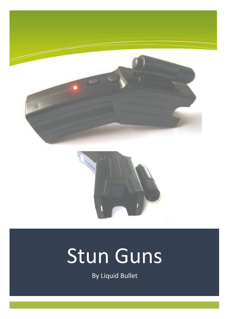



# Stun Guns

By Liquid Bullet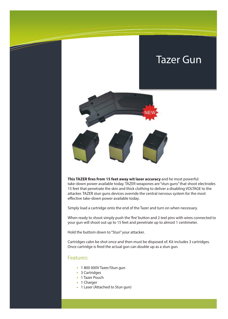### Tazer Gun



**This TAZER fires from 15 feet away wit laser accuracy** and he most powerful take-down power available today. TAZER weapones are "stun guns" that shoot electrodes 15 feet that penetrate the skin and thick clothing to deliver a disabling VOLTAGE to the attacker. TAZER stun guns devices override the central nervous system for the most effective take-down power available today.

Simply load a cartridge onto the end of the Tazer and turn on when necessary.

When ready to shoot simply push the 'fire' button and 2 teel pins with wires connected to your gun will shoot out up to 15 feet and penetrate up to almost 1 centimeter.

Hold the buttom down to "Stun" your attacker.

Cartridges cabn be shot once and then must be disposed of. Kit includes 3 cartridges. Once cartridge is fired the actual gun can double up as a stun gun.

#### Features:

- 1 800 000V Tazer/Stun gun
- 3 Cartridges
- 1 Tazer Pouch
- 1 Charger
- 1 Laser (Attached to Stun gun)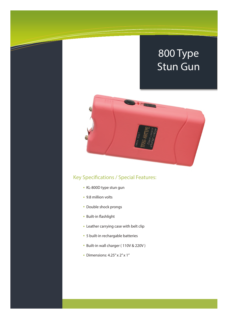

### Key Specifications / Special Features:

- KL-800D type stun gun
- 9.8 million volts
- Double shock prongs
- Built-in flashlight
- Leather carrying case with belt clip
- 5 built-in rechargable batteries
- Built-in wall charger ( 110V & 220V )
- Dimensions: 4.25" x 2" x 1"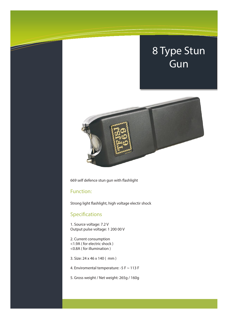

669 self defence stun gun with flashlight

#### Function:

Strong light flashlight, high voltage electir shock

#### Specifications

1. Source voltage: 7.2 V Output pulse voltage: 1 200 00 V

2. Current consumption <1.9A ( for electric shock ) <0.8A ( for illumination )

3. Size: 24 x 46 x 140 ( mm )

4. Enviromental temperature: -5 F ~ 113 F

5. Gross weight / Net weight: 265g / 160g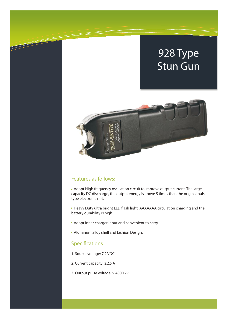

#### Features as follows:

 Adopt High frequency oscillation circuit to improve output current. The large capacity DC discharge, the output energy is above 5 times than the original pulse type electronic riot.

• Heavy Duty ultra bright LED flash light, AAAAAAA circulation charging and the battery durability is high.

- Adopt inner charger input and convenient to carry.
- Aluminum alloy shell and fashion Design.

#### Specifications

- 1. Source voltage: 7.2 VDC
- 2. Current capacity: ≥2.5 A
- 3. Output pulse voltage: > 4000 kv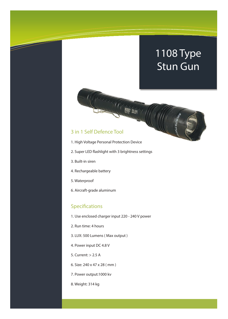#### 3 in 1 Self Defence Tool

- 1. High Voltage Personal Protection Device
- 2. Super LED flashlight with 3 brightness settings

TALACA CALLA TELEVISION SOLON

- 3. Built-in siren
- 4. Rechargeable battery
- 5. Waterproof
- 6. Aircraft-grade aluminum

#### Specifications

- 1. Use enclosed charger input 220 240 V power
- 2. Run time: 4 hours
- 3. LUX: 500 Lumens ( Max output )
- 4. Power input DC 4.8 V
- 5. Current: > 2.5 A
- 6. Size: 240 x 47 x 28 ( mm )
- 7. Power output:1000 kv
- 8. Weight: 314 kg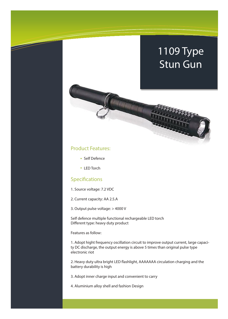#### Product Features:

- Self Defence
- LED Torch

#### Specifications

- 1. Source voltage: 7.2 VDC
- 2. Current capacity: AA 2.5.A
- 3. Output pulse voltage: > 4000 V

Self defence multiple functional rechargeable LED torch Different type: heavy duty product

GEORGE COM

Features as follow:

1. Adopt hight frequency oscillation circuit to improve output current, large capacity DC discharge, the output energy is above 5 times than original pulse type electronic riot

2. Heavy duty ultra bright LED flashlight, AAAAAAA circulation charging and the battery durability is high

3. Adopt inner charge input and convenient to carry

4. Aluminium alloy shell and fashion Design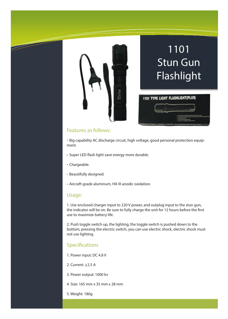

# 1101 Stun Gun Flashlight



#### Features as follows:

 Big capability AC discharge circuit, high voltage, good personal protection equipment.

- Super LED flash light save energy more durable.
- Chargeable.
- Beautifully designed.
- Aircraft-grade aluminum, HA III anodic oxidation.

#### Usage:

1. Use enclosed charger input to 220 V power, and outplug input to the stun gun, the indicator will be on. Be sure to fully charge the unit for 12 hours before the first use to maximize battery life.

2. Push toggle switch up, the lighting, the toggle switch is pushed down to the bottom, pressing the electric switch, you can use electric shock, electric shock must not use lighting.

#### Specifications

1. Power input: DC 4.8 V

2. Current: ≥2.5 A

3. Power output: 1000 kv

4. Size: 165 mm x 35 mm x 28 mm

5. Weight: 180g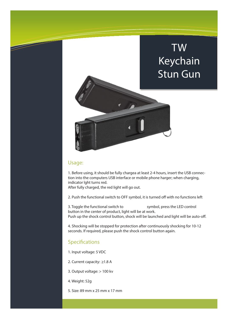## TW Keychain Stun Gun



#### Usage:

1. Before using, it should be fully chargea at least 2-4 hours, insert the USB connection into the computers USB interface or mobile phone harger; when charging, indicator lght turns red.

After fully charged, the red light will go out.

2. Push the functional switch to OFF symbol, it is turned off with no functions left

3. Toggle the functional switch to symbol, press the LED control button in the center of product, light will be at work. Push up the shock control button, shock will be launched and light will be auto-off.

4. Shocking will be stopped for protection after continuously shocking for 10-12 seconds. If required, please push the shock control button again.

#### Specifications

- 1. Input voltage: 5 VDC
- 2. Current capacity:  $\geq$ 1.8 A
- 3. Output voltage: > 100 kv
- 4. Weight: 52g
- 5. Size: 89 mm x 25 mm x 17 mm